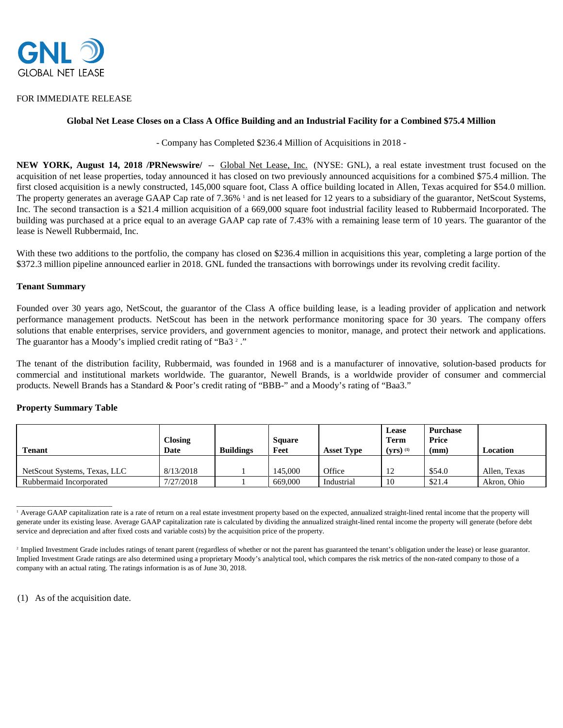

## FOR IMMEDIATE RELEASE

# **Global Net Lease Closes on a Class A Office Building and an Industrial Facility for a Combined \$75.4 Million**

- Company has Completed \$236.4 Million of Acquisitions in 2018 -

**NEW YORK, August 14, 2018 /PRNewswire/** -- Global Net Lease, Inc. (NYSE: GNL), a real estate investment trust focused on the acquisition of net lease properties, today announced it has closed on two previously announced acquisitions for a combined \$75.4 million. The first closed acquisition is a newly constructed, 145,000 square foot, Class A office building located in Allen, Texas acquired for \$54.0 million. The property generates an average GAAP Cap rate of 7.36% <sup>1</sup> and is net leased for 12 years to a subsidiary of the guarantor, NetScout Systems, Inc. The second transaction is a \$21.4 million acquisition of a 669,000 square foot industrial facility leased to Rubbermaid Incorporated. The building was purchased at a price equal to an average GAAP cap rate of 7.43% with a remaining lease term of 10 years. The guarantor of the lease is Newell Rubbermaid, Inc.

With these two additions to the portfolio, the company has closed on \$236.4 million in acquisitions this year, completing a large portion of the \$372.3 million pipeline announced earlier in 2018. GNL funded the transactions with borrowings under its revolving credit facility.

### **Tenant Summary**

Founded over 30 years ago, NetScout, the guarantor of the Class A office building lease, is a leading provider of application and network performance management products. NetScout has been in the network performance monitoring space for 30 years. The company offers solutions that enable enterprises, service providers, and government agencies to monitor, manage, and protect their network and applications. The guarantor has a Moody's implied credit rating of "Ba3<sup>2</sup>."

The tenant of the distribution facility, Rubbermaid, was founded in 1968 and is a manufacturer of innovative, solution-based products for commercial and institutional markets worldwide. The guarantor, Newell Brands, is a worldwide provider of consumer and commercial products. Newell Brands has a Standard & Poor's credit rating of "BBB-" and a Moody's rating of "Baa3."

### **Property Summary Table**

 $\frac{1}{2}$  ,  $\frac{1}{2}$  ,  $\frac{1}{2}$  ,  $\frac{1}{2}$  ,  $\frac{1}{2}$  ,  $\frac{1}{2}$  ,  $\frac{1}{2}$  ,  $\frac{1}{2}$  ,  $\frac{1}{2}$  ,  $\frac{1}{2}$  ,  $\frac{1}{2}$  ,  $\frac{1}{2}$  ,  $\frac{1}{2}$  ,  $\frac{1}{2}$  ,  $\frac{1}{2}$  ,  $\frac{1}{2}$  ,  $\frac{1}{2}$  ,  $\frac{1}{2}$  ,  $\frac{1$ 

| <b>Tenant</b>                | <b>Closing</b><br>Date | <b>Buildings</b> | <b>Square</b><br>Feet | <b>Asset Type</b> | Lease<br>Term<br>$(vrs)^{(1)}$ | <b>Purchase</b><br>Price<br>(mm) | Location     |
|------------------------------|------------------------|------------------|-----------------------|-------------------|--------------------------------|----------------------------------|--------------|
| NetScout Systems, Texas, LLC | 8/13/2018              |                  | 145,000               | Office            | $1^{\circ}$<br>- 12            | \$54.0                           | Allen, Texas |
| Rubbermaid Incorporated      | 7/27/2018              |                  | 669,000               | Industrial        | 10                             | \$21.4                           | Akron, Ohio  |

<sup>&</sup>lt;sup>1</sup> Average GAAP capitalization rate is a rate of return on a real estate investment property based on the expected, annualized straight-lined rental income that the property will generate under its existing lease. Average GAAP capitalization rate is calculated by dividing the annualized straight-lined rental income the property will generate (before debt service and depreciation and after fixed costs and variable costs) by the acquisition price of the property.

(1) As of the acquisition date.

<sup>&</sup>lt;sup>2</sup> Implied Investment Grade includes ratings of tenant parent (regardless of whether or not the parent has guaranteed the tenant's obligation under the lease) or lease guarantor. Implied Investment Grade ratings are also determined using a proprietary Moody's analytical tool, which compares the risk metrics of the non-rated company to those of a company with an actual rating. The ratings information is as of June 30, 2018.